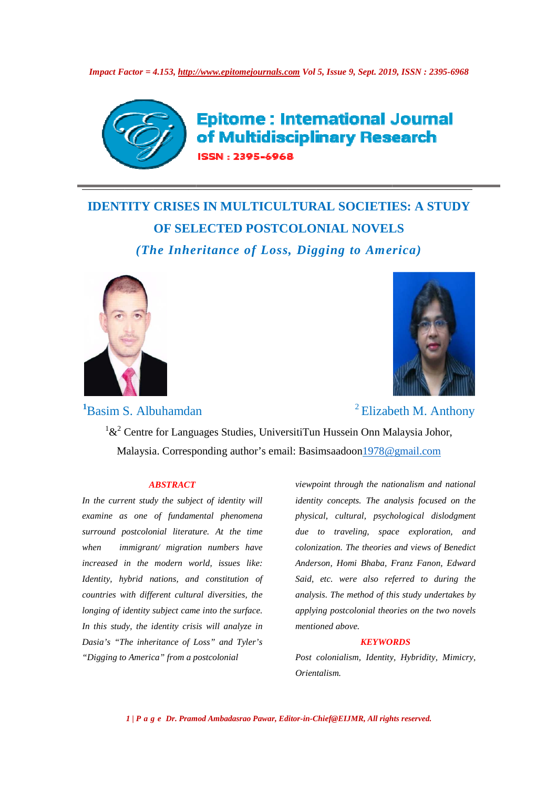

**Epitome: International Journal** of Multidisciplinary Research N: 2395-6968

# **IDENTITY CRISES IN MULTICULTURAL SOCIETIES: A STUDY OF SELECTED POSTCOLONIAL NOVELS** *(The Inheritance of Loss, Digging to America)*



<sup>1</sup>Basim S. Albuhamdan



<sup>2</sup> Elizabeth M. Anthony

 $1\&^2$  Centre for Languages Studies, UniversitiTun Hussein Onn Malaysia Malaysia. Corresponding author's email: Basimsaadoon 1978@gmail.com

#### *ABSTRACT*

In the current study the subject of identity will *examine as one of fundamental phenomena* surround postcolonial literature. At the time *when immigrant/ migration numbers have*  increased in the modern world, issues like: *Identity, hybrid nations, and constitution of*  Identity, hybrid nations, and constitution of<br>countries with different cultural diversities, the *longing of identity subject came into the surface. In this study, the identity crisis will analyze in Dasia's "The inheritance of Loss" and Tyler's "Digging to America" from a postcolonial* 

*viewpoint through the nationalism and national identity concepts. The analysis focused on the physical, cultural, psychological dislodgment due to traveling, space exploration, and colonization. The theories and views of Benedict Anderson, Homi Bhaba, Franz Fanon, Edward Said, etc. were also referred to* analysis. The method of this study undertakes by applying postcolonial theories on the two novels *mentioned above.*  In Hussein Onn Malaysia Johor,<br>
simsaadoon<u>1978@gmail.com</u><br>
point through the nationalism and na<br>
tity concepts. The analysis focused o<br>
ical, cultural, psychological dislod<sub>is</sub><br>
to traveling, space exploration,<br>
nization. *concepts. The analysis focused on the*<br>cultural, psychological dislodgment<br>traveling, space exploration, and<br>tion. The theories and views of Benedict<br>n, Homi Bhaba, Franz Fanon, Edward<br>c. were also referred to during the

#### *KEYWORDS*

*Post colonialism, Identity, Hybridity, Mimicry, Orientalism.* 

*1 | P a g e Dr. Pramod Ambadasrao Pawar, Editor Editor-in-Chief@EIJMR, All rights reserved.*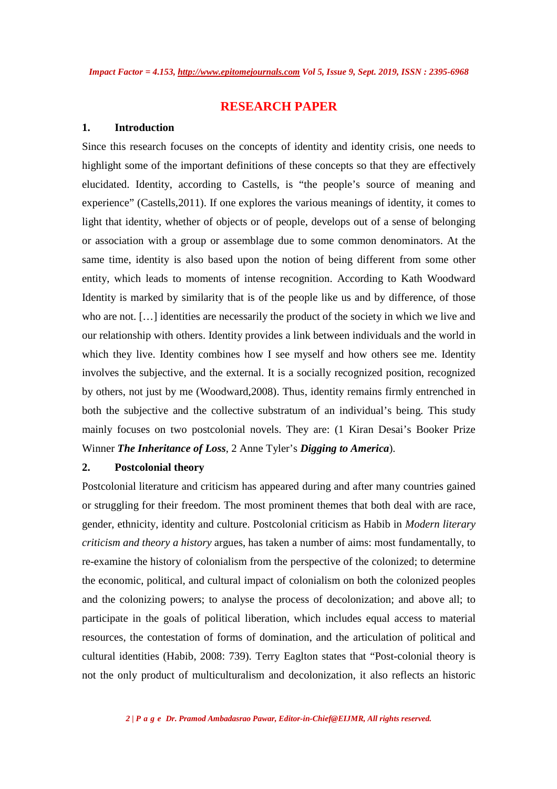## **RESEARCH PAPER**

## **1. Introduction**

Since this research focuses on the concepts of identity and identity crisis, one needs to highlight some of the important definitions of these concepts so that they are effectively elucidated. Identity, according to Castells, is "the people's source of meaning and experience" (Castells,2011). If one explores the various meanings of identity, it comes to light that identity, whether of objects or of people, develops out of a sense of belonging or association with a group or assemblage due to some common denominators. At the same time, identity is also based upon the notion of being different from some other entity, which leads to moments of intense recognition. According to Kath Woodward Identity is marked by similarity that is of the people like us and by difference, of those who are not. […] identities are necessarily the product of the society in which we live and our relationship with others. Identity provides a link between individuals and the world in which they live. Identity combines how I see myself and how others see me. Identity involves the subjective, and the external. It is a socially recognized position, recognized by others, not just by me (Woodward,2008). Thus, identity remains firmly entrenched in both the subjective and the collective substratum of an individual's being. This study mainly focuses on two postcolonial novels. They are: (1 Kiran Desai's Booker Prize Winner *The Inheritance of Loss*, 2 Anne Tyler's *Digging to America*).

## **2. Postcolonial theory**

Postcolonial literature and criticism has appeared during and after many countries gained or struggling for their freedom. The most prominent themes that both deal with are race, gender, ethnicity, identity and culture. Postcolonial criticism as Habib in *Modern literary criticism and theory a history* argues, has taken a number of aims: most fundamentally, to re-examine the history of colonialism from the perspective of the colonized; to determine the economic, political, and cultural impact of colonialism on both the colonized peoples and the colonizing powers; to analyse the process of decolonization; and above all; to participate in the goals of political liberation, which includes equal access to material resources, the contestation of forms of domination, and the articulation of political and cultural identities (Habib, 2008: 739). Terry Eaglton states that "Post-colonial theory is not the only product of multiculturalism and decolonization, it also reflects an historic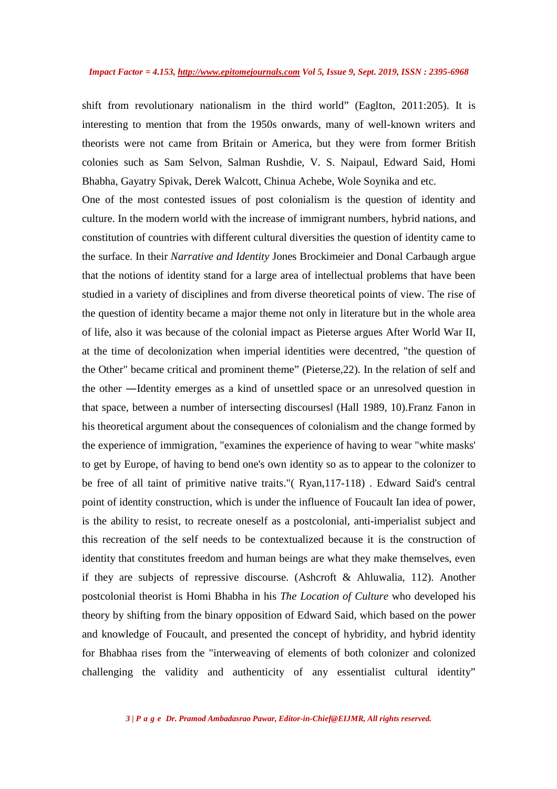shift from revolutionary nationalism in the third world" (Eaglton, 2011:205). It is interesting to mention that from the 1950s onwards, many of well-known writers and theorists were not came from Britain or America, but they were from former British colonies such as Sam Selvon, Salman Rushdie, V. S. Naipaul, Edward Said, Homi Bhabha, Gayatry Spivak, Derek Walcott, Chinua Achebe, Wole Soynika and etc.

One of the most contested issues of post colonialism is the question of identity and culture. In the modern world with the increase of immigrant numbers, hybrid nations, and constitution of countries with different cultural diversities the question of identity came to the surface. In their *Narrative and Identity* Jones Brockimeier and Donal Carbaugh argue that the notions of identity stand for a large area of intellectual problems that have been studied in a variety of disciplines and from diverse theoretical points of view. The rise of the question of identity became a major theme not only in literature but in the whole area of life, also it was because of the colonial impact as Pieterse argues After World War II, at the time of decolonization when imperial identities were decentred, "the question of the Other" became critical and prominent theme" (Pieterse,22). In the relation of self and the other ―Identity emerges as a kind of unsettled space or an unresolved question in that space, between a number of intersecting discoursesǁ (Hall 1989, 10).Franz Fanon in his theoretical argument about the consequences of colonialism and the change formed by the experience of immigration, "examines the experience of having to wear "white masks' to get by Europe, of having to bend one's own identity so as to appear to the colonizer to be free of all taint of primitive native traits."( Ryan,117-118) . Edward Said's central point of identity construction, which is under the influence of Foucault Ian idea of power, is the ability to resist, to recreate oneself as a postcolonial, anti-imperialist subject and this recreation of the self needs to be contextualized because it is the construction of identity that constitutes freedom and human beings are what they make themselves, even if they are subjects of repressive discourse. (Ashcroft & Ahluwalia, 112). Another postcolonial theorist is Homi Bhabha in his *The Location of Culture* who developed his theory by shifting from the binary opposition of Edward Said, which based on the power and knowledge of Foucault, and presented the concept of hybridity, and hybrid identity for Bhabhaa rises from the "interweaving of elements of both colonizer and colonized challenging the validity and authenticity of any essentialist cultural identity"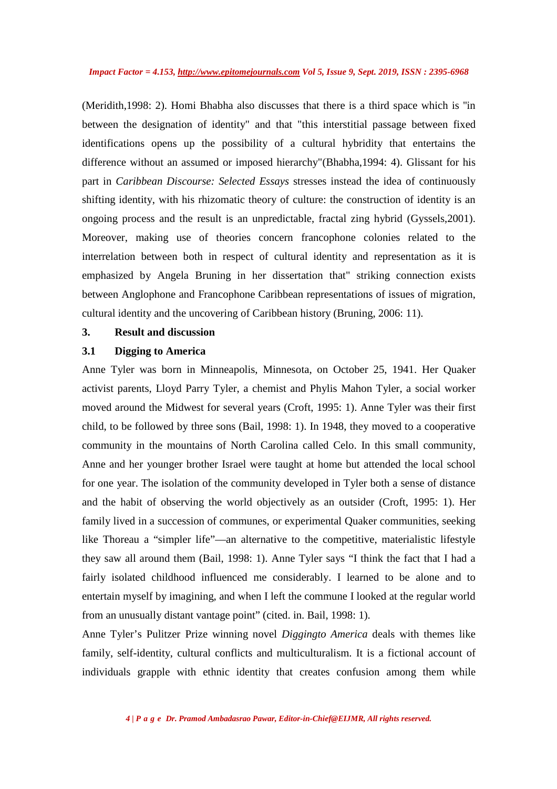(Meridith,1998: 2). Homi Bhabha also discusses that there is a third space which is ''in between the designation of identity" and that "this interstitial passage between fixed identifications opens up the possibility of a cultural hybridity that entertains the difference without an assumed or imposed hierarchy"(Bhabha,1994: 4). Glissant for his part in *Caribbean Discourse: Selected Essays* stresses instead the idea of continuously shifting identity, with his rhizomatic theory of culture: the construction of identity is an ongoing process and the result is an unpredictable, fractal zing hybrid (Gyssels,2001). Moreover, making use of theories concern francophone colonies related to the interrelation between both in respect of cultural identity and representation as it is emphasized by Angela Bruning in her dissertation that" striking connection exists between Anglophone and Francophone Caribbean representations of issues of migration, cultural identity and the uncovering of Caribbean history (Bruning, 2006: 11).

## **3. Result and discussion**

## **3.1 Digging to America**

Anne Tyler was born in Minneapolis, Minnesota, on October 25, 1941. Her Quaker activist parents, Lloyd Parry Tyler, a chemist and Phylis Mahon Tyler, a social worker moved around the Midwest for several years (Croft, 1995: 1). Anne Tyler was their first child, to be followed by three sons (Bail, 1998: 1). In 1948, they moved to a cooperative community in the mountains of North Carolina called Celo. In this small community, Anne and her younger brother Israel were taught at home but attended the local school for one year. The isolation of the community developed in Tyler both a sense of distance and the habit of observing the world objectively as an outsider (Croft, 1995: 1). Her family lived in a succession of communes, or experimental Quaker communities, seeking like Thoreau a "simpler life"—an alternative to the competitive, materialistic lifestyle they saw all around them (Bail, 1998: 1). Anne Tyler says "I think the fact that I had a fairly isolated childhood influenced me considerably. I learned to be alone and to entertain myself by imagining, and when I left the commune I looked at the regular world from an unusually distant vantage point" (cited. in. Bail, 1998: 1).

Anne Tyler's Pulitzer Prize winning novel *Diggingto America* deals with themes like family, self-identity, cultural conflicts and multiculturalism. It is a fictional account of individuals grapple with ethnic identity that creates confusion among them while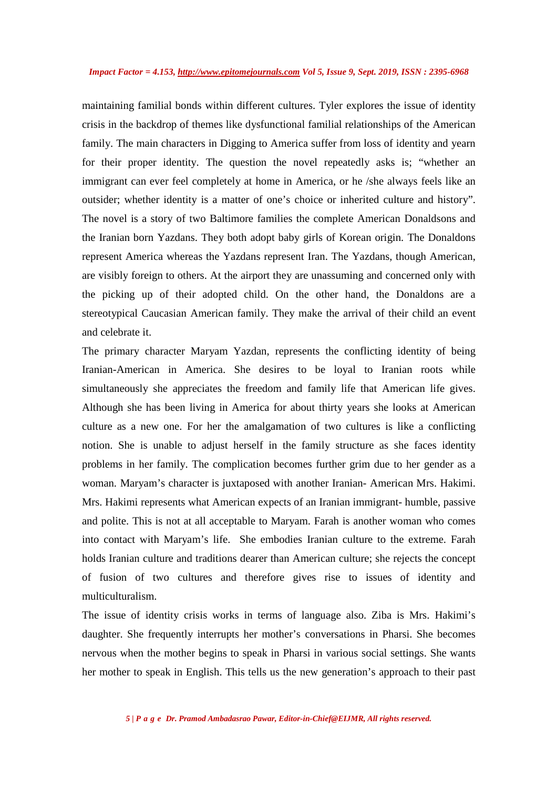maintaining familial bonds within different cultures. Tyler explores the issue of identity crisis in the backdrop of themes like dysfunctional familial relationships of the American family. The main characters in Digging to America suffer from loss of identity and yearn for their proper identity. The question the novel repeatedly asks is; "whether an immigrant can ever feel completely at home in America, or he /she always feels like an outsider; whether identity is a matter of one's choice or inherited culture and history". The novel is a story of two Baltimore families the complete American Donaldsons and the Iranian born Yazdans. They both adopt baby girls of Korean origin. The Donaldons represent America whereas the Yazdans represent Iran. The Yazdans, though American, are visibly foreign to others. At the airport they are unassuming and concerned only with the picking up of their adopted child. On the other hand, the Donaldons are a stereotypical Caucasian American family. They make the arrival of their child an event and celebrate it.

The primary character Maryam Yazdan, represents the conflicting identity of being Iranian-American in America. She desires to be loyal to Iranian roots while simultaneously she appreciates the freedom and family life that American life gives. Although she has been living in America for about thirty years she looks at American culture as a new one. For her the amalgamation of two cultures is like a conflicting notion. She is unable to adjust herself in the family structure as she faces identity problems in her family. The complication becomes further grim due to her gender as a woman. Maryam's character is juxtaposed with another Iranian- American Mrs. Hakimi. Mrs. Hakimi represents what American expects of an Iranian immigrant- humble, passive and polite. This is not at all acceptable to Maryam. Farah is another woman who comes into contact with Maryam's life. She embodies Iranian culture to the extreme. Farah holds Iranian culture and traditions dearer than American culture; she rejects the concept of fusion of two cultures and therefore gives rise to issues of identity and multiculturalism.

The issue of identity crisis works in terms of language also. Ziba is Mrs. Hakimi's daughter. She frequently interrupts her mother's conversations in Pharsi. She becomes nervous when the mother begins to speak in Pharsi in various social settings. She wants her mother to speak in English. This tells us the new generation's approach to their past

*5 | P a g e Dr. Pramod Ambadasrao Pawar, Editor-in-Chief@EIJMR, All rights reserved.*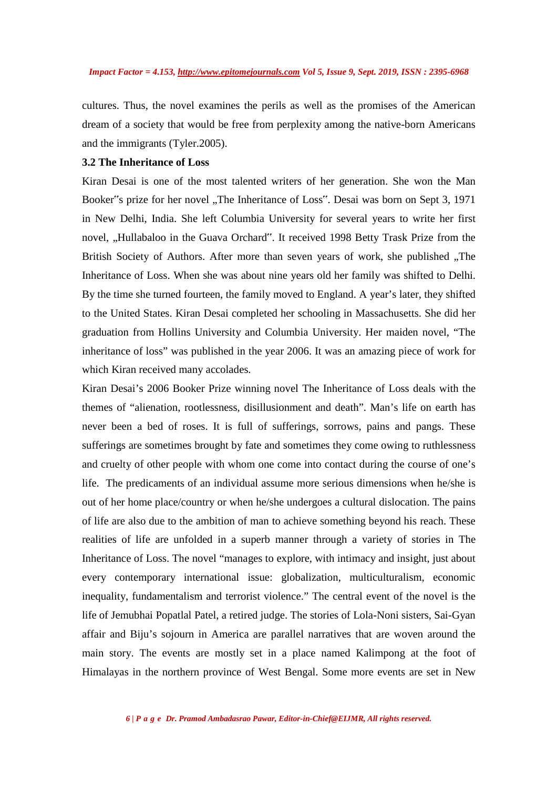cultures. Thus, the novel examines the perils as well as the promises of the American dream of a society that would be free from perplexity among the native-born Americans and the immigrants (Tyler.2005).

## **3.2 The Inheritance of Loss**

Kiran Desai is one of the most talented writers of her generation. She won the Man Booker"'s prize for her novel "The Inheritance of Loss". Desai was born on Sept 3, 1971 in New Delhi, India. She left Columbia University for several years to write her first novel, "Hullabaloo in the Guava Orchard". It received 1998 Betty Trask Prize from the British Society of Authors. After more than seven years of work, she published "The Inheritance of Loss. When she was about nine years old her family was shifted to Delhi. By the time she turned fourteen, the family moved to England. A year's later, they shifted to the United States. Kiran Desai completed her schooling in Massachusetts. She did her graduation from Hollins University and Columbia University. Her maiden novel, "The inheritance of loss" was published in the year 2006. It was an amazing piece of work for which Kiran received many accolades.

Kiran Desai's 2006 Booker Prize winning novel The Inheritance of Loss deals with the themes of "alienation, rootlessness, disillusionment and death". Man's life on earth has never been a bed of roses. It is full of sufferings, sorrows, pains and pangs. These sufferings are sometimes brought by fate and sometimes they come owing to ruthlessness and cruelty of other people with whom one come into contact during the course of one's life. The predicaments of an individual assume more serious dimensions when he/she is out of her home place/country or when he/she undergoes a cultural dislocation. The pains of life are also due to the ambition of man to achieve something beyond his reach. These realities of life are unfolded in a superb manner through a variety of stories in The Inheritance of Loss. The novel "manages to explore, with intimacy and insight, just about every contemporary international issue: globalization, multiculturalism, economic inequality, fundamentalism and terrorist violence." The central event of the novel is the life of Jemubhai Popatlal Patel, a retired judge. The stories of Lola-Noni sisters, Sai-Gyan affair and Biju's sojourn in America are parallel narratives that are woven around the main story. The events are mostly set in a place named Kalimpong at the foot of Himalayas in the northern province of West Bengal. Some more events are set in New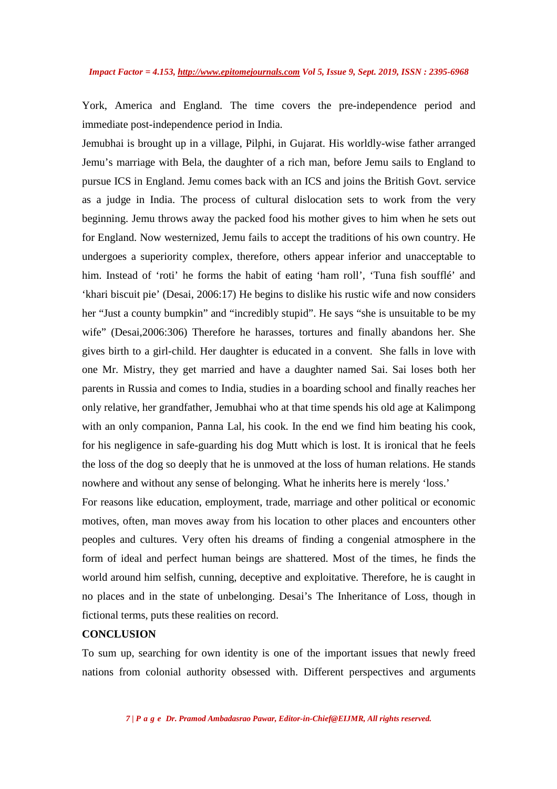York, America and England. The time covers the pre-independence period and immediate post-independence period in India.

Jemubhai is brought up in a village, Pilphi, in Gujarat. His worldly-wise father arranged Jemu's marriage with Bela, the daughter of a rich man, before Jemu sails to England to pursue ICS in England. Jemu comes back with an ICS and joins the British Govt. service as a judge in India. The process of cultural dislocation sets to work from the very beginning. Jemu throws away the packed food his mother gives to him when he sets out for England. Now westernized, Jemu fails to accept the traditions of his own country. He undergoes a superiority complex, therefore, others appear inferior and unacceptable to him. Instead of 'roti' he forms the habit of eating 'ham roll', 'Tuna fish soufflé' and 'khari biscuit pie' (Desai, 2006:17) He begins to dislike his rustic wife and now considers her "Just a county bumpkin" and "incredibly stupid". He says "she is unsuitable to be my wife" (Desai,2006:306) Therefore he harasses, tortures and finally abandons her. She gives birth to a girl-child. Her daughter is educated in a convent. She falls in love with one Mr. Mistry, they get married and have a daughter named Sai. Sai loses both her parents in Russia and comes to India, studies in a boarding school and finally reaches her only relative, her grandfather, Jemubhai who at that time spends his old age at Kalimpong with an only companion, Panna Lal, his cook. In the end we find him beating his cook, for his negligence in safe-guarding his dog Mutt which is lost. It is ironical that he feels the loss of the dog so deeply that he is unmoved at the loss of human relations. He stands nowhere and without any sense of belonging. What he inherits here is merely 'loss.'

For reasons like education, employment, trade, marriage and other political or economic motives, often, man moves away from his location to other places and encounters other peoples and cultures. Very often his dreams of finding a congenial atmosphere in the form of ideal and perfect human beings are shattered. Most of the times, he finds the world around him selfish, cunning, deceptive and exploitative. Therefore, he is caught in no places and in the state of unbelonging. Desai's The Inheritance of Loss, though in fictional terms, puts these realities on record.

## **CONCLUSION**

To sum up, searching for own identity is one of the important issues that newly freed nations from colonial authority obsessed with. Different perspectives and arguments

*7 | P a g e Dr. Pramod Ambadasrao Pawar, Editor-in-Chief@EIJMR, All rights reserved.*